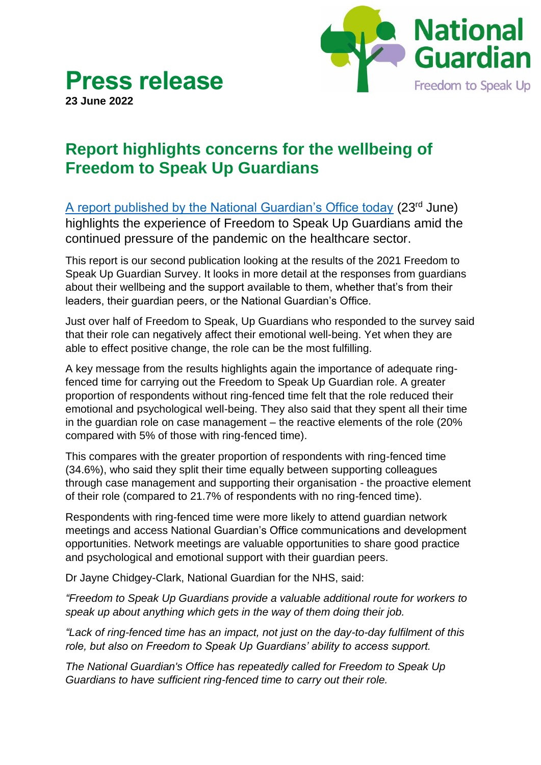

## **Press release 23 June 2022**

## **Report highlights concerns for the wellbeing of Freedom to Speak Up Guardians**

[A report published by the National Guardian's Office today](https://nationalguardian.org.uk/wp-content/uploads/2022/06/Supporting-the-wellbeing-of-FTSU-Guardians.pdf) (23rd June) highlights the experience of Freedom to Speak Up Guardians amid the continued pressure of the pandemic on the healthcare sector.

This report is our second publication looking at the results of the 2021 Freedom to Speak Up Guardian Survey. It looks in more detail at the responses from guardians about their wellbeing and the support available to them, whether that's from their leaders, their guardian peers, or the National Guardian's Office.

Just over half of Freedom to Speak, Up Guardians who responded to the survey said that their role can negatively affect their emotional well-being. Yet when they are able to effect positive change, the role can be the most fulfilling.

A key message from the results highlights again the importance of adequate ringfenced time for carrying out the Freedom to Speak Up Guardian role. A greater proportion of respondents without ring-fenced time felt that the role reduced their emotional and psychological well-being. They also said that they spent all their time in the guardian role on case management – the reactive elements of the role (20% compared with 5% of those with ring-fenced time).

This compares with the greater proportion of respondents with ring-fenced time (34.6%), who said they split their time equally between supporting colleagues through case management and supporting their organisation - the proactive element of their role (compared to 21.7% of respondents with no ring-fenced time).

Respondents with ring-fenced time were more likely to attend guardian network meetings and access National Guardian's Office communications and development opportunities. Network meetings are valuable opportunities to share good practice and psychological and emotional support with their guardian peers.

Dr Jayne Chidgey-Clark, National Guardian for the NHS, said:

*"Freedom to Speak Up Guardians provide a valuable additional route for workers to speak up about anything which gets in the way of them doing their job.*

*"Lack of ring-fenced time has an impact, not just on the day-to-day fulfilment of this role, but also on Freedom to Speak Up Guardians' ability to access support.* 

*The National Guardian's Office has repeatedly called for Freedom to Speak Up Guardians to have sufficient ring-fenced time to carry out their role.*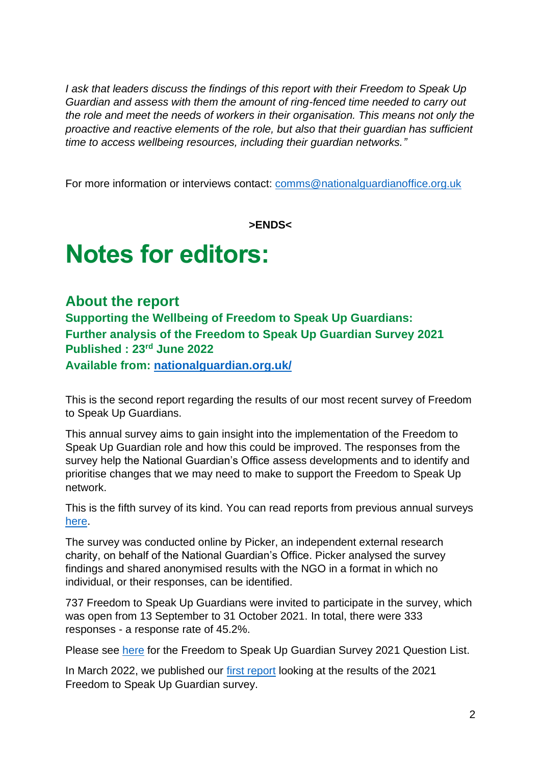*I ask that leaders discuss the findings of this report with their Freedom to Speak Up Guardian and assess with them the amount of ring-fenced time needed to carry out the role and meet the needs of workers in their organisation. This means not only the proactive and reactive elements of the role, but also that their guardian has sufficient time to access wellbeing resources, including their guardian networks."*

For more information or interviews contact: [comms@nationalguardianoffice.org.uk](mailto:comms@nationalguardianoffice.org.uk)

**>ENDS<**

# **Notes for editors:**

#### **About the report**

**Supporting the Wellbeing of Freedom to Speak Up Guardians: Further analysis of the Freedom to Speak Up Guardian Survey 2021 Published : 23rd June 2022**

**Available from: [nationalguardian.org.uk/](https://nationalguardian.org.uk/wp-content/uploads/2022/06/Supporting-the-wellbeing-of-FTSU-Guardians.pdf)**

This is the second report regarding the results of our most recent survey of Freedom to Speak Up Guardians.

This annual survey aims to gain insight into the implementation of the Freedom to Speak Up Guardian role and how this could be improved. The responses from the survey help the National Guardian's Office assess developments and to identify and prioritise changes that we may need to make to support the Freedom to Speak Up network.

This is the fifth survey of its kind. You can read reports from previous annual surveys [here.](https://www.nationalguardian.org.uk/publications/)

The survey was conducted online by Picker, an independent external research charity, on behalf of the National Guardian's Office. Picker analysed the survey findings and shared anonymised results with the NGO in a format in which no individual, or their responses, can be identified.

737 Freedom to Speak Up Guardians were invited to participate in the survey, which was open from 13 September to 31 October 2021. In total, there were 333 responses - a response rate of 45.2%.

Please see [here](https://nationalguardian.org.uk/wp-content/uploads/2022/03/FTSUG-Survey-2021-Questions.pdf) for the Freedom to Speak Up Guardian Survey 2021 Question List.

In March 2022, we published our [first report](https://nationalguardian.org.uk/wp-content/uploads/2022/03/2021-FTSUGuardian-Survey-Report.pdf) looking at the results of the 2021 Freedom to Speak Up Guardian survey.